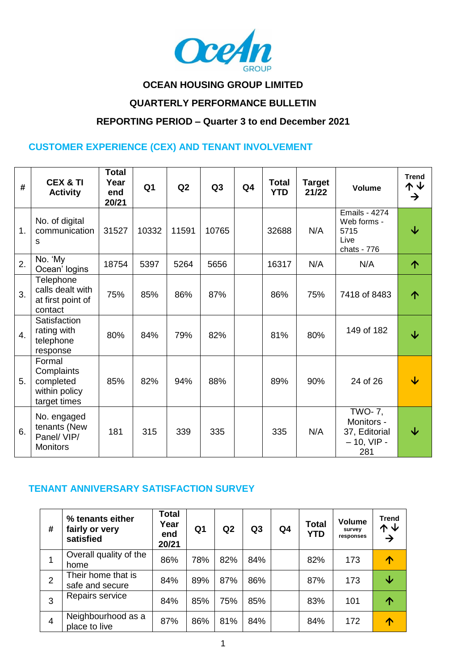

## **OCEAN HOUSING GROUP LIMITED**

## **QUARTERLY PERFORMANCE BULLETIN**

#### **REPORTING PERIOD – Quarter 3 to end December 2021**

#### **CUSTOMER EXPERIENCE (CEX) AND TENANT INVOLVEMENT**

| #                | <b>CEX &amp; TI</b><br><b>Activity</b>                             | <b>Total</b><br>Year<br>end<br>20/21 | Q <sub>1</sub> | Q2    | Q <sub>3</sub> | Q <sub>4</sub> | <b>Total</b><br><b>YTD</b> | <b>Target</b><br>21/22 | <b>Volume</b>                                                        | <b>Trend</b><br>↑↓<br>$\rightarrow$ |
|------------------|--------------------------------------------------------------------|--------------------------------------|----------------|-------|----------------|----------------|----------------------------|------------------------|----------------------------------------------------------------------|-------------------------------------|
| 1.               | No. of digital<br>communication<br>s                               | 31527                                | 10332          | 11591 | 10765          |                | 32688                      | N/A                    | <b>Emails - 4274</b><br>Web forms -<br>5715<br>Live<br>chats - 776   | ↓                                   |
| 2.               | No. 'My<br>Ocean' logins                                           | 18754                                | 5397           | 5264  | 5656           |                | 16317                      | N/A                    | N/A                                                                  | 个                                   |
| 3.               | Telephone<br>calls dealt with<br>at first point of<br>contact      | 75%                                  | 85%            | 86%   | 87%            |                | 86%                        | 75%                    | 7418 of 8483                                                         | ↑                                   |
| $\overline{4}$ . | Satisfaction<br>rating with<br>telephone<br>response               | 80%                                  | 84%            | 79%   | 82%            |                | 81%                        | 80%                    | 149 of 182                                                           | $\overline{\mathbf{V}}$             |
| 5.               | Formal<br>Complaints<br>completed<br>within policy<br>target times | 85%                                  | 82%            | 94%   | 88%            |                | 89%                        | 90%                    | 24 of 26                                                             | ↓                                   |
| 6.               | No. engaged<br>tenants (New<br>Panel/VIP/<br><b>Monitors</b>       | 181                                  | 315            | 339   | 335            |                | 335                        | N/A                    | <b>TWO-7,</b><br>Monitors -<br>37, Editorial<br>$-10$ , VIP -<br>281 | ↓                                   |

#### **TENANT ANNIVERSARY SATISFACTION SURVEY**

| #              | % tenants either<br>fairly or very<br>satisfied | <b>Total</b><br>Year<br>end<br>20/21 | Q <sub>1</sub> | Q2  | Q <sub>3</sub> | Q4 | <b>Total</b><br><b>YTD</b> | <b>Volume</b><br>survey<br>responses | <b>Trend</b><br>个业<br>→ |
|----------------|-------------------------------------------------|--------------------------------------|----------------|-----|----------------|----|----------------------------|--------------------------------------|-------------------------|
|                | Overall quality of the<br>home                  | 86%                                  | 78%            | 82% | 84%            |    | 82%                        | 173                                  |                         |
| 2              | Their home that is<br>safe and secure           | 84%                                  | 89%            | 87% | 86%            |    | 87%                        | 173                                  | ↓                       |
| 3              | Repairs service                                 | 84%                                  | 85%            | 75% | 85%            |    | 83%                        | 101                                  |                         |
| $\overline{4}$ | Neighbourhood as a<br>place to live             | 87%                                  | 86%            | 81% | 84%            |    | 84%                        | 172                                  |                         |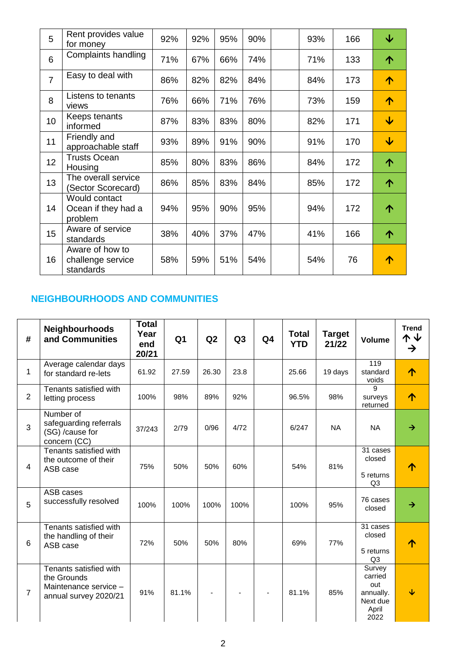| 5               | Rent provides value<br>for money                  | 92% | 92% | 95% | 90% | 93% | 166 | $\overline{\mathbf{V}}$ |
|-----------------|---------------------------------------------------|-----|-----|-----|-----|-----|-----|-------------------------|
| 6               | Complaints handling                               | 71% | 67% | 66% | 74% | 71% | 133 | 个                       |
| $\overline{7}$  | Easy to deal with                                 | 86% | 82% | 82% | 84% | 84% | 173 | ↑                       |
| 8               | Listens to tenants<br>views                       | 76% | 66% | 71% | 76% | 73% | 159 | ↑                       |
| 10              | Keeps tenants<br>informed                         | 87% | 83% | 83% | 80% | 82% | 171 | $\overline{\mathbf{V}}$ |
| 11              | Friendly and<br>approachable staff                | 93% | 89% | 91% | 90% | 91% | 170 | $\overline{\mathbf{V}}$ |
| 12 <sub>2</sub> | <b>Trusts Ocean</b><br>Housing                    | 85% | 80% | 83% | 86% | 84% | 172 | 个                       |
| 13              | The overall service<br>(Sector Scorecard)         | 86% | 85% | 83% | 84% | 85% | 172 | 个                       |
| 14              | Would contact<br>Ocean if they had a<br>problem   | 94% | 95% | 90% | 95% | 94% | 172 | 个                       |
| 15              | Aware of service<br>standards                     | 38% | 40% | 37% | 47% | 41% | 166 | 个                       |
| 16              | Aware of how to<br>challenge service<br>standards | 58% | 59% | 51% | 54% | 54% | 76  | ↑                       |

## **NEIGHBOURHOODS AND COMMUNITIES**

| #               | <b>Neighbourhoods</b><br>and Communities                                                | <b>Total</b><br>Year<br>end<br>20/21 | Q <sub>1</sub> | Q2    | Q3   | Q <sub>4</sub> | <b>Total</b><br><b>YTD</b> | <b>Target</b><br>21/22 | <b>Volume</b>                                                      | <b>Trend</b><br><b>↑↓</b><br>$\rightarrow$ |
|-----------------|-----------------------------------------------------------------------------------------|--------------------------------------|----------------|-------|------|----------------|----------------------------|------------------------|--------------------------------------------------------------------|--------------------------------------------|
| 1               | Average calendar days<br>for standard re-lets                                           | 61.92                                | 27.59          | 26.30 | 23.8 |                | 25.66                      | 19 days                | 119<br>standard<br>voids                                           | 个                                          |
| $\overline{2}$  | Tenants satisfied with<br>letting process                                               | 100%                                 | 98%            | 89%   | 92%  |                | 96.5%                      | 98%                    | 9<br>surveys<br>returned                                           | ↑                                          |
| 3               | Number of<br>safeguarding referrals<br>(SG) /cause for<br>concern (CC)                  | 37/243                               | 2/79           | 0/96  | 4/72 |                | 6/247                      | <b>NA</b>              | <b>NA</b>                                                          | $\rightarrow$                              |
| 4               | Tenants satisfied with<br>the outcome of their<br>ASB case                              | 75%                                  | 50%            | 50%   | 60%  |                | 54%                        | 81%                    | $\overline{31}$ cases<br>closed<br>5 returns<br>Q <sub>3</sub>     | ↑                                          |
| 5               | ASB cases<br>successfully resolved                                                      | 100%                                 | 100%           | 100%  | 100% |                | 100%                       | 95%                    | 76 cases<br>closed                                                 | →                                          |
| $6\phantom{1}6$ | Tenants satisfied with<br>the handling of their<br>ASB case                             | 72%                                  | 50%            | 50%   | 80%  |                | 69%                        | 77%                    | 31 cases<br>closed<br>5 returns<br>Q <sub>3</sub>                  | ↑                                          |
| $\overline{7}$  | Tenants satisfied with<br>the Grounds<br>Maintenance service -<br>annual survey 2020/21 | 91%                                  | 81.1%          |       |      |                | 81.1%                      | 85%                    | Survey<br>carried<br>out<br>annually.<br>Next due<br>April<br>2022 | ↓                                          |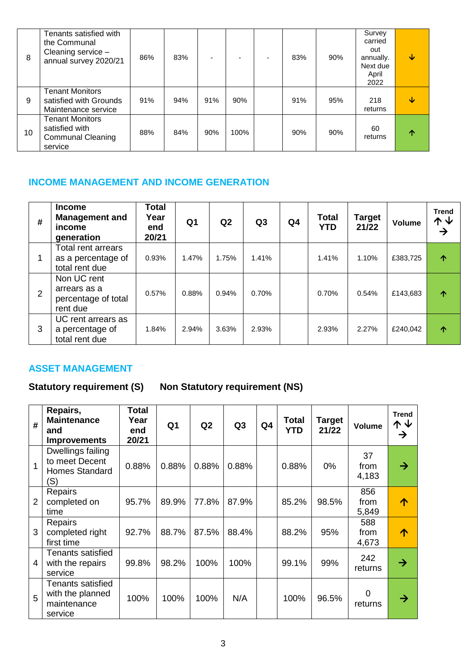| 8  | Tenants satisfied with<br>the Communal<br>Cleaning service -<br>annual survey 2020/21 | 86% | 83% |     |      | 83% | 90% | Survey<br>carried<br>out<br>annually.<br>Next due<br>April<br>2022 | ↓ |
|----|---------------------------------------------------------------------------------------|-----|-----|-----|------|-----|-----|--------------------------------------------------------------------|---|
| 9  | <b>Tenant Monitors</b><br>satisfied with Grounds<br>Maintenance service               | 91% | 94% | 91% | 90%  | 91% | 95% | 218<br>returns                                                     | ↓ |
| 10 | <b>Tenant Monitors</b><br>satisfied with<br><b>Communal Cleaning</b><br>service       | 88% | 84% | 90% | 100% | 90% | 90% | 60<br>returns                                                      | ∧ |

## **INCOME MANAGEMENT AND INCOME GENERATION**

| # | <b>Income</b><br><b>Management and</b><br>income<br>generation    | Total<br>Year<br>end<br>20/21 | Q <sub>1</sub> | Q2    | Q3    | Q4 | <b>Total</b><br><b>YTD</b> | <b>Target</b><br>21/22 | <b>Volume</b> | <b>Trend</b><br>个业<br>$\rightarrow$ |
|---|-------------------------------------------------------------------|-------------------------------|----------------|-------|-------|----|----------------------------|------------------------|---------------|-------------------------------------|
|   | <b>Total rent arrears</b><br>as a percentage of<br>total rent due | 0.93%                         | 1.47%          | 1.75% | 1.41% |    | 1.41%                      | 1.10%                  | £383,725      | 个                                   |
| 2 | Non UC rent<br>arrears as a<br>percentage of total<br>rent due    | 0.57%                         | 0.88%          | 0.94% | 0.70% |    | 0.70%                      | 0.54%                  | £143,683      | 个                                   |
| 3 | UC rent arrears as<br>a percentage of<br>total rent due           | 1.84%                         | 2.94%          | 3.63% | 2.93% |    | 2.93%                      | 2.27%                  | £240,042      | ↑                                   |

### **ASSET MANAGEMENT**

# Statutory requirement (S) Non Statutory requirement (NS)

| #              | Repairs,<br><b>Maintenance</b><br>and<br><b>Improvements</b>        | Total<br>Year<br>end<br>20/21 | Q <sub>1</sub> | Q2    | Q <sub>3</sub> | Q <sub>4</sub> | <b>Total</b><br><b>YTD</b> | Target<br>21/22 | <b>Volume</b>        | <b>Trend</b><br>个↓<br>→ |
|----------------|---------------------------------------------------------------------|-------------------------------|----------------|-------|----------------|----------------|----------------------------|-----------------|----------------------|-------------------------|
| $\overline{1}$ | Dwellings failing<br>to meet Decent<br><b>Homes Standard</b><br>(S) | 0.88%                         | 0.88%          | 0.88% | 0.88%          |                | 0.88%                      | 0%              | 37<br>from<br>4,183  | →                       |
| $\overline{2}$ | Repairs<br>completed on<br>time                                     | 95.7%                         | 89.9%          | 77.8% | 87.9%          |                | 85.2%                      | 98.5%           | 856<br>from<br>5,849 | ́∩                      |
| 3              | Repairs<br>completed right<br>first time                            | 92.7%                         | 88.7%          | 87.5% | 88.4%          |                | 88.2%                      | 95%             | 588<br>from<br>4,673 | ∧                       |
| 4              | Tenants satisfied<br>with the repairs<br>service                    | 99.8%                         | 98.2%          | 100%  | 100%           |                | 99.1%                      | 99%             | 242<br>returns       | →                       |
| 5              | Tenants satisfied<br>with the planned<br>maintenance<br>service     | 100%                          | 100%           | 100%  | N/A            |                | 100%                       | 96.5%           | $\Omega$<br>returns  | →                       |